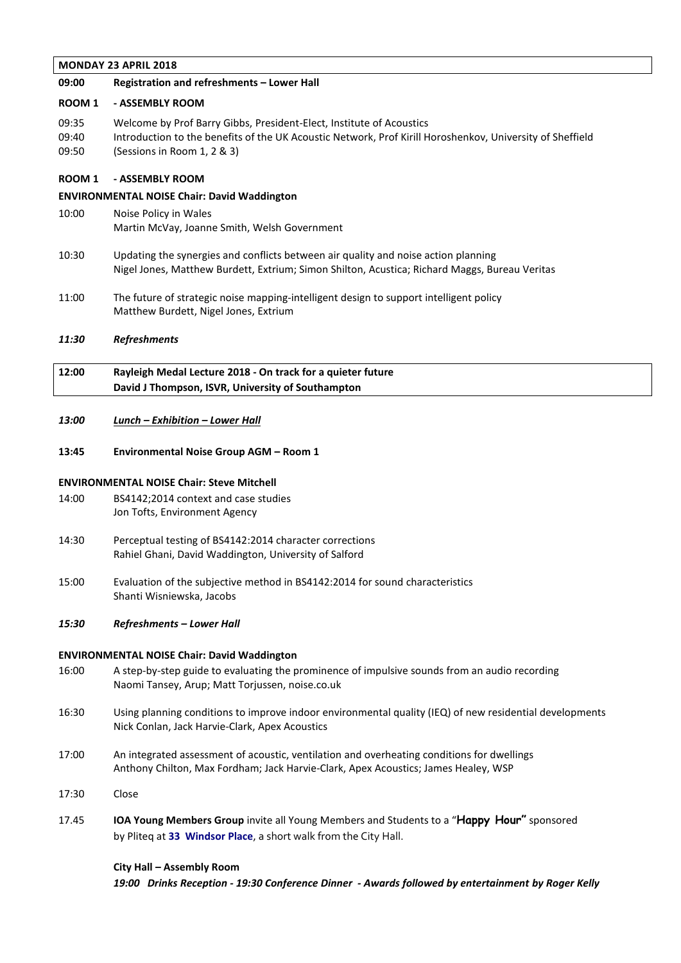|                                                    | MONDAY 23 APRIL 2018                                                                                                                                                                                             |  |
|----------------------------------------------------|------------------------------------------------------------------------------------------------------------------------------------------------------------------------------------------------------------------|--|
| 09:00                                              | Registration and refreshments - Lower Hall                                                                                                                                                                       |  |
| ROOM 1                                             | - ASSEMBLY ROOM                                                                                                                                                                                                  |  |
| 09:35<br>09:40<br>09:50                            | Welcome by Prof Barry Gibbs, President-Elect, Institute of Acoustics<br>Introduction to the benefits of the UK Acoustic Network, Prof Kirill Horoshenkov, University of Sheffield<br>(Sessions in Room 1, 2 & 3) |  |
| <b>ROOM1</b>                                       | - ASSEMBLY ROOM                                                                                                                                                                                                  |  |
| <b>ENVIRONMENTAL NOISE Chair: David Waddington</b> |                                                                                                                                                                                                                  |  |
| 10:00                                              | Noise Policy in Wales<br>Martin McVay, Joanne Smith, Welsh Government                                                                                                                                            |  |
| 10:30                                              | Updating the synergies and conflicts between air quality and noise action planning<br>Nigel Jones, Matthew Burdett, Extrium; Simon Shilton, Acustica; Richard Maggs, Bureau Veritas                              |  |
| 11:00                                              | The future of strategic noise mapping-intelligent design to support intelligent policy<br>Matthew Burdett, Nigel Jones, Extrium                                                                                  |  |
| 11:30                                              | <b>Refreshments</b>                                                                                                                                                                                              |  |
| 12:00                                              | Rayleigh Medal Lecture 2018 - On track for a quieter future<br>David J Thompson, ISVR, University of Southampton                                                                                                 |  |
| 13:00                                              | <u>Lunch – Exhibition – Lower Hall</u>                                                                                                                                                                           |  |
| 13:45                                              | Environmental Noise Group AGM - Room 1                                                                                                                                                                           |  |
| <b>ENVIRONMENTAL NOISE Chair: Steve Mitchell</b>   |                                                                                                                                                                                                                  |  |
| 14:00                                              | BS4142;2014 context and case studies<br>Jon Tofts, Environment Agency                                                                                                                                            |  |
| 14:30                                              | Perceptual testing of BS4142:2014 character corrections<br>Rahiel Ghani, David Waddington, University of Salford                                                                                                 |  |
| 15:00                                              | Evaluation of the subjective method in BS4142:2014 for sound characteristics<br>Shanti Wisniewska, Jacobs                                                                                                        |  |
| 15:30                                              | Refreshments - Lower Hall                                                                                                                                                                                        |  |
| <b>ENVIRONMENTAL NOISE Chair: David Waddington</b> |                                                                                                                                                                                                                  |  |
| 16:00                                              | A step-by-step guide to evaluating the prominence of impulsive sounds from an audio recording<br>Naomi Tansey, Arup; Matt Torjussen, noise.co.uk                                                                 |  |
| 16:30                                              | Using planning conditions to improve indoor environmental quality (IEQ) of new residential developments<br>Nick Conlan, Jack Harvie-Clark, Apex Acoustics                                                        |  |

- 17:00 An integrated assessment of acoustic, ventilation and overheating conditions for dwellings Anthony Chilton, Max Fordham; Jack Harvie-Clark, Apex Acoustics; James Healey, WSP
- 17:30 Close
- 17.45 **IOA Young Members Group** invite all Young Members and Students to a "**Happy Hour"** sponsored by Pliteq at **33 Windsor Place**, a short walk from the City Hall.

# **City Hall – Assembly Room**

*19:00 Drinks Reception - 19:30 Conference Dinner - Awards followed by entertainment by Roger Kelly*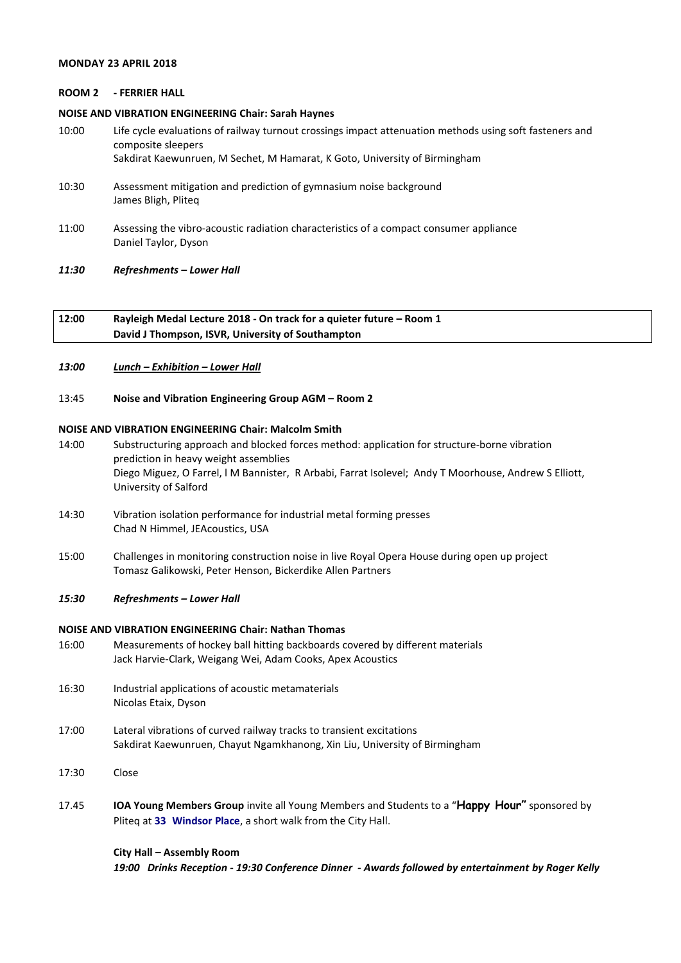### **MONDAY 23 APRIL 2018**

### **ROOM 2 - FERRIER HALL**

### **NOISE AND VIBRATION ENGINEERING Chair: Sarah Haynes**

- 10:00 Life cycle evaluations of railway turnout crossings impact attenuation methods using soft fasteners and composite sleepers Sakdirat Kaewunruen, M Sechet, M Hamarat, K Goto, University of Birmingham
- 10:30 Assessment mitigation and prediction of gymnasium noise background James Bligh, Pliteq
- 11:00 Assessing the vibro-acoustic radiation characteristics of a compact consumer appliance Daniel Taylor, Dyson
- *11:30 Refreshments – Lower Hall*

**12:00 Rayleigh Medal Lecture 2018 - On track for a quieter future – Room 1 David J Thompson, ISVR, University of Southampton**

*13:00 Lunch – Exhibition – Lower Hall*

## 13:45 **Noise and Vibration Engineering Group AGM – Room 2**

### **NOISE AND VIBRATION ENGINEERING Chair: Malcolm Smith**

- 14:00 Substructuring approach and blocked forces method: application for structure-borne vibration prediction in heavy weight assemblies Diego Miguez, O Farrel, l M Bannister, R Arbabi, Farrat Isolevel; Andy T Moorhouse, Andrew S Elliott, University of Salford
- 14:30 Vibration isolation performance for industrial metal forming presses Chad N Himmel, JEAcoustics, USA
- 15:00 Challenges in monitoring construction noise in live Royal Opera House during open up project Tomasz Galikowski, Peter Henson, Bickerdike Allen Partners

## *15:30 Refreshments – Lower Hall*

### **NOISE AND VIBRATION ENGINEERING Chair: Nathan Thomas**

- 16:00 Measurements of hockey ball hitting backboards covered by different materials Jack Harvie-Clark, Weigang Wei, Adam Cooks, Apex Acoustics
- 16:30 Industrial applications of acoustic metamaterials Nicolas Etaix, Dyson
- 17:00 Lateral vibrations of curved railway tracks to transient excitations Sakdirat Kaewunruen, Chayut Ngamkhanong, Xin Liu, University of Birmingham
- 17:30 Close
- 17.45 **IOA Young Members Group** invite all Young Members and Students to a "**Happy Hour"** sponsored by Pliteq at **33 Windsor Place**, a short walk from the City Hall.

#### **City Hall – Assembly Room**

*19:00 Drinks Reception - 19:30 Conference Dinner - Awards followed by entertainment by Roger Kelly*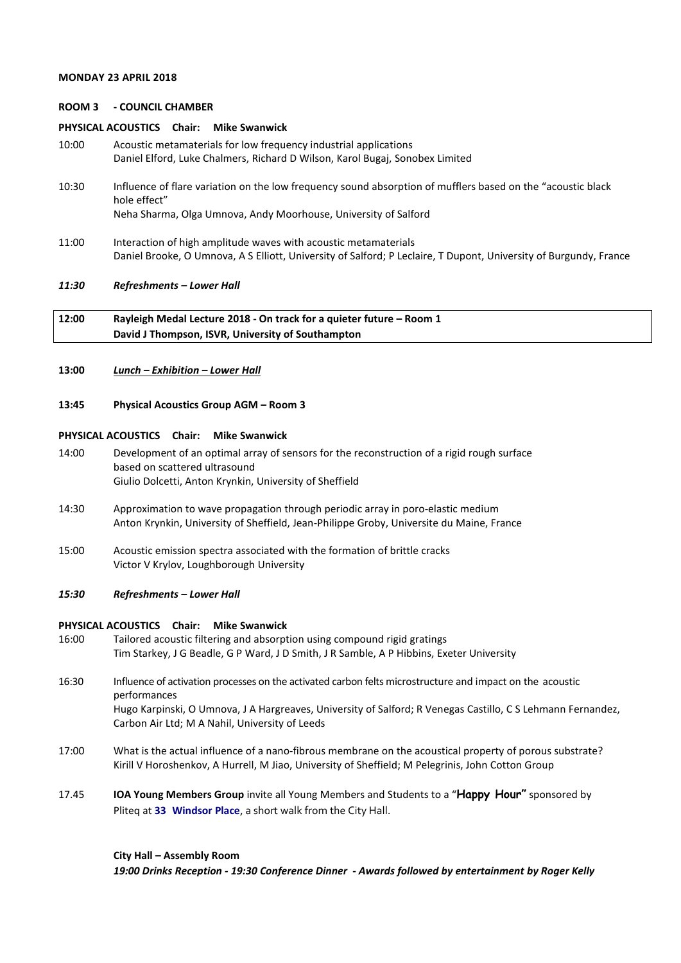### **MONDAY 23 APRIL 2018**

## **ROOM 3 - COUNCIL CHAMBER**

### **PHYSICAL ACOUSTICS Chair: Mike Swanwick**

- 10:00 Acoustic metamaterials for low frequency industrial applications Daniel Elford, Luke Chalmers, Richard D Wilson, Karol Bugaj, Sonobex Limited
- 10:30 Influence of flare variation on the low frequency sound absorption of mufflers based on the "acoustic black hole effect" Neha Sharma, Olga Umnova, Andy Moorhouse, University of Salford
- 11:00 Interaction of high amplitude waves with acoustic metamaterials Daniel Brooke, O Umnova, A S Elliott, University of Salford; P Leclaire, T Dupont, University of Burgundy, France

## *11:30 Refreshments – Lower Hall*

**12:00 Rayleigh Medal Lecture 2018 - On track for a quieter future – Room 1 David J Thompson, ISVR, University of Southampton**

## **13:00** *Lunch – Exhibition – Lower Hall*

**13:45 Physical Acoustics Group AGM – Room 3**

#### **PHYSICAL ACOUSTICS Chair: Mike Swanwick**

- 14:00 Development of an optimal array of sensors for the reconstruction of a rigid rough surface based on scattered ultrasound Giulio Dolcetti, Anton Krynkin, University of Sheffield
- 14:30 Approximation to wave propagation through periodic array in poro-elastic medium Anton Krynkin, University of Sheffield, Jean-Philippe Groby, Universite du Maine, France
- 15:00 Acoustic emission spectra associated with the formation of brittle cracks Victor V Krylov, Loughborough University

## *15:30 Refreshments – Lower Hall*

#### **PHYSICAL ACOUSTICS Chair: Mike Swanwick**

- 16:00 Tailored acoustic filtering and absorption using compound rigid gratings Tim Starkey, J G Beadle, G P Ward, J D Smith, J R Samble, A P Hibbins, Exeter University
- 16:30 Influence of activation processes on the activated carbon felts microstructure and impact on the acoustic performances Hugo Karpinski, O Umnova, J A Hargreaves, University of Salford; R Venegas Castillo, C S Lehmann Fernandez, Carbon Air Ltd; M A Nahil, University of Leeds
- 17:00 What is the actual influence of a nano-fibrous membrane on the acoustical property of porous substrate? Kirill V Horoshenkov, A Hurrell, M Jiao, University of Sheffield; M Pelegrinis, John Cotton Group
- 17.45 **IOA Young Members Group** invite all Young Members and Students to a "**Happy Hour"** sponsored by Pliteq at **33 Windsor Place**, a short walk from the City Hall.

#### **City Hall – Assembly Room**

*19:00 Drinks Reception - 19:30 Conference Dinner - Awards followed by entertainment by Roger Kelly*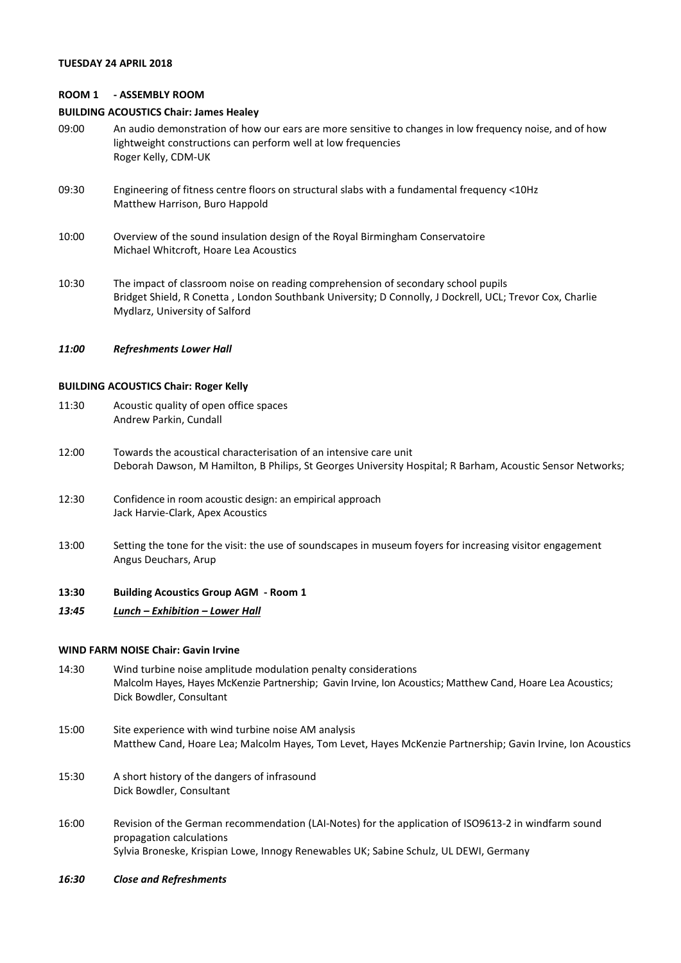## **ROOM 1 - ASSEMBLY ROOM**

## **BUILDING ACOUSTICS Chair: James Healey**

- 09:00 An audio demonstration of how our ears are more sensitive to changes in low frequency noise, and of how lightweight constructions can perform well at low frequencies Roger Kelly, CDM-UK
- 09:30 Engineering of fitness centre floors on structural slabs with a fundamental frequency <10Hz Matthew Harrison, Buro Happold
- 10:00 Overview of the sound insulation design of the Royal Birmingham Conservatoire Michael Whitcroft, Hoare Lea Acoustics
- 10:30 The impact of classroom noise on reading comprehension of secondary school pupils Bridget Shield, R Conetta , London Southbank University; D Connolly, J Dockrell, UCL; Trevor Cox, Charlie Mydlarz, University of Salford

## *11:00 Refreshments Lower Hall*

### **BUILDING ACOUSTICS Chair: Roger Kelly**

- 11:30 Acoustic quality of open office spaces Andrew Parkin, Cundall
- 12:00 Towards the acoustical characterisation of an intensive care unit Deborah Dawson, M Hamilton, B Philips, St Georges University Hospital; R Barham, Acoustic Sensor Networks;
- 12:30 Confidence in room acoustic design: an empirical approach Jack Harvie-Clark, Apex Acoustics
- 13:00 Setting the tone for the visit: the use of soundscapes in museum foyers for increasing visitor engagement Angus Deuchars, Arup

#### **13:30 Building Acoustics Group AGM - Room 1**

*13:45 Lunch – Exhibition – Lower Hall*

## **WIND FARM NOISE Chair: Gavin Irvine**

- 14:30 Wind turbine noise amplitude modulation penalty considerations Malcolm Hayes, Hayes McKenzie Partnership; Gavin Irvine, Ion Acoustics; Matthew Cand, Hoare Lea Acoustics; Dick Bowdler, Consultant
- 15:00 Site experience with wind turbine noise AM analysis Matthew Cand, Hoare Lea; Malcolm Hayes, Tom Levet, Hayes McKenzie Partnership; Gavin Irvine, Ion Acoustics
- 15:30 A short history of the dangers of infrasound Dick Bowdler, Consultant
- 16:00 Revision of the German recommendation (LAI-Notes) for the application of ISO9613-2 in windfarm sound propagation calculations Sylvia Broneske, Krispian Lowe, Innogy Renewables UK; Sabine Schulz, UL DEWI, Germany
- *16:30 Close and Refreshments*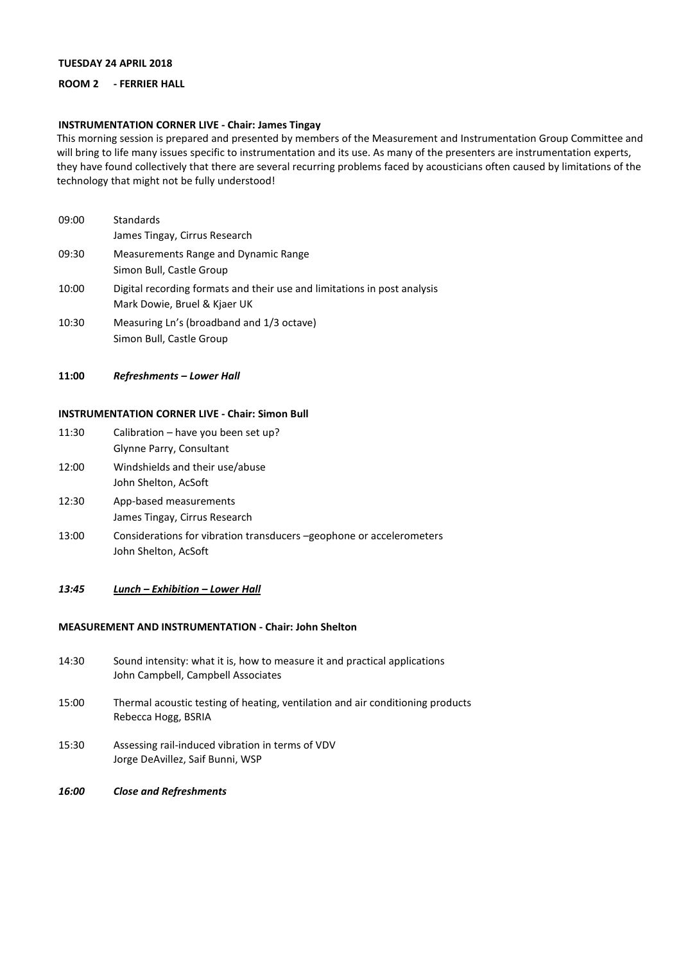## **TUESDAY 24 APRIL 2018**

# **ROOM 2 - FERRIER HALL**

# **INSTRUMENTATION CORNER LIVE - Chair: James Tingay**

This morning session is prepared and presented by members of the Measurement and Instrumentation Group Committee and will bring to life many issues specific to instrumentation and its use. As many of the presenters are instrumentation experts, they have found collectively that there are several recurring problems faced by acousticians often caused by limitations of the technology that might not be fully understood!

| 09:00 | Standards<br>James Tingay, Cirrus Research                                                               |
|-------|----------------------------------------------------------------------------------------------------------|
| 09:30 | Measurements Range and Dynamic Range<br>Simon Bull, Castle Group                                         |
| 10:00 | Digital recording formats and their use and limitations in post analysis<br>Mark Dowie, Bruel & Kjaer UK |
| 10:30 | Measuring Ln's (broadband and 1/3 octave)<br>Simon Bull, Castle Group                                    |

## **11:00** *Refreshments – Lower Hall*

## **INSTRUMENTATION CORNER LIVE - Chair: Simon Bull**

| 11:30 | Calibration - have you been set up? |
|-------|-------------------------------------|
|       | Glynne Parry, Consultant            |

- 12:00 Windshields and their use/abuse John Shelton, AcSoft
- 12:30 App-based measurements James Tingay, Cirrus Research
- 13:00 Considerations for vibration transducers –geophone or accelerometers John Shelton, AcSoft

# *13:45 Lunch – Exhibition – Lower Hall*

# **MEASUREMENT AND INSTRUMENTATION - Chair: John Shelton**

- 14:30 Sound intensity: what it is, how to measure it and practical applications John Campbell, Campbell Associates
- 15:00 Thermal acoustic testing of heating, ventilation and air conditioning products Rebecca Hogg, BSRIA
- 15:30 Assessing rail-induced vibration in terms of VDV Jorge DeAvillez, Saif Bunni, WSP
- *16:00 Close and Refreshments*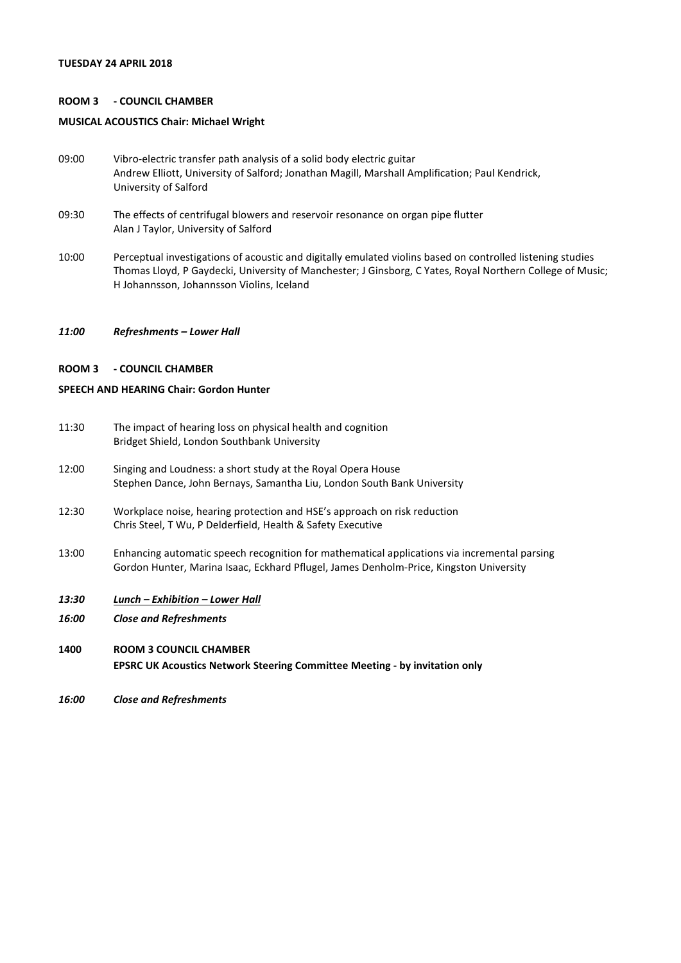## **ROOM 3 - COUNCIL CHAMBER**

### **MUSICAL ACOUSTICS Chair: Michael Wright**

- 09:00 Vibro-electric transfer path analysis of a solid body electric guitar Andrew Elliott, University of Salford; Jonathan Magill, Marshall Amplification; Paul Kendrick, University of Salford
- 09:30 The effects of centrifugal blowers and reservoir resonance on organ pipe flutter Alan J Taylor, University of Salford
- 10:00 Perceptual investigations of acoustic and digitally emulated violins based on controlled listening studies Thomas Lloyd, P Gaydecki, University of Manchester; J Ginsborg, C Yates, Royal Northern College of Music; H Johannsson, Johannsson Violins, Iceland

## *11:00 Refreshments – Lower Hall*

## **ROOM 3 - COUNCIL CHAMBER**

#### **SPEECH AND HEARING Chair: Gordon Hunter**

- 11:30 The impact of hearing loss on physical health and cognition Bridget Shield, London Southbank University
- 12:00 Singing and Loudness: a short study at the Royal Opera House Stephen Dance, John Bernays, Samantha Liu, London South Bank University
- 12:30 Workplace noise, hearing protection and HSE's approach on risk reduction Chris Steel, T Wu, P Delderfield, Health & Safety Executive
- 13:00 Enhancing automatic speech recognition for mathematical applications via incremental parsing Gordon Hunter, Marina Isaac, Eckhard Pflugel, James Denholm-Price, Kingston University
- *13:30 Lunch – Exhibition – Lower Hall*
- *16:00 Close and Refreshments*
- **1400 ROOM 3 COUNCIL CHAMBER EPSRC UK Acoustics Network Steering Committee Meeting - by invitation only**
- *16:00 Close and Refreshments*